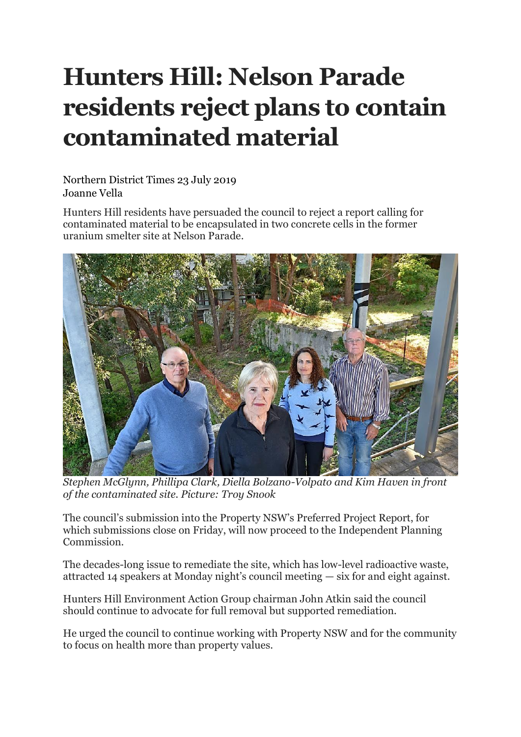## **Hunters Hill: Nelson Parade residents reject plans to contain contaminated material**

Northern District Times 23 July 2019 Joanne Vella

Hunters Hill residents have persuaded the council to reject a report calling for contaminated material to be encapsulated in two concrete cells in the former uranium smelter site at Nelson Parade.



*Stephen McGlynn, Phillipa Clark, Diella Bolzano-Volpato and Kim Haven in front of the contaminated site. Picture: Troy Snook*

The council's submission into the Property NSW's Preferred Project Report, for which submissions close on Friday, will now proceed to the Independent Planning Commission.

The decades-long issue to remediate the site, which has low-level radioactive waste, attracted 14 speakers at Monday night's council meeting — six for and eight against.

Hunters Hill Environment Action Group chairman John Atkin said the council should continue to advocate for full removal but supported remediation.

He urged the council to continue working with Property NSW and for the community to focus on health more than property values.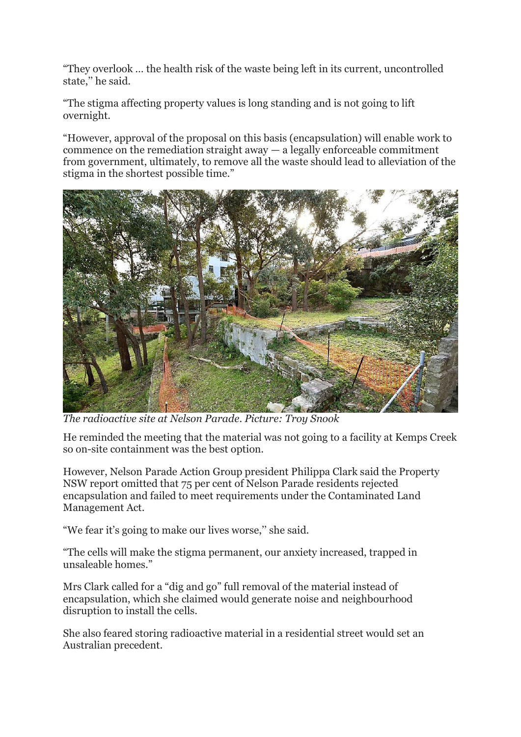"They overlook … the health risk of the waste being left in its current, uncontrolled state," he said.

"The stigma affecting property values is long standing and is not going to lift overnight.

"However, approval of the proposal on this basis (encapsulation) will enable work to commence on the remediation straight away  $-$  a legally enforceable commitment from government, ultimately, to remove all the waste should lead to alleviation of the stigma in the shortest possible time."



*The radioactive site at Nelson Parade. Picture: Troy Snook*

He reminded the meeting that the material was not going to a facility at Kemps Creek so on-site containment was the best option.

However, Nelson Parade Action Group president Philippa Clark said the Property NSW report omitted that 75 per cent of Nelson Parade residents rejected encapsulation and failed to meet requirements under the Contaminated Land Management Act.

"We fear it's going to make our lives worse,'' she said.

"The cells will make the stigma permanent, our anxiety increased, trapped in unsaleable homes."

Mrs Clark called for a "dig and go" full removal of the material instead of encapsulation, which she claimed would generate noise and neighbourhood disruption to install the cells.

She also feared storing radioactive material in a residential street would set an Australian precedent.